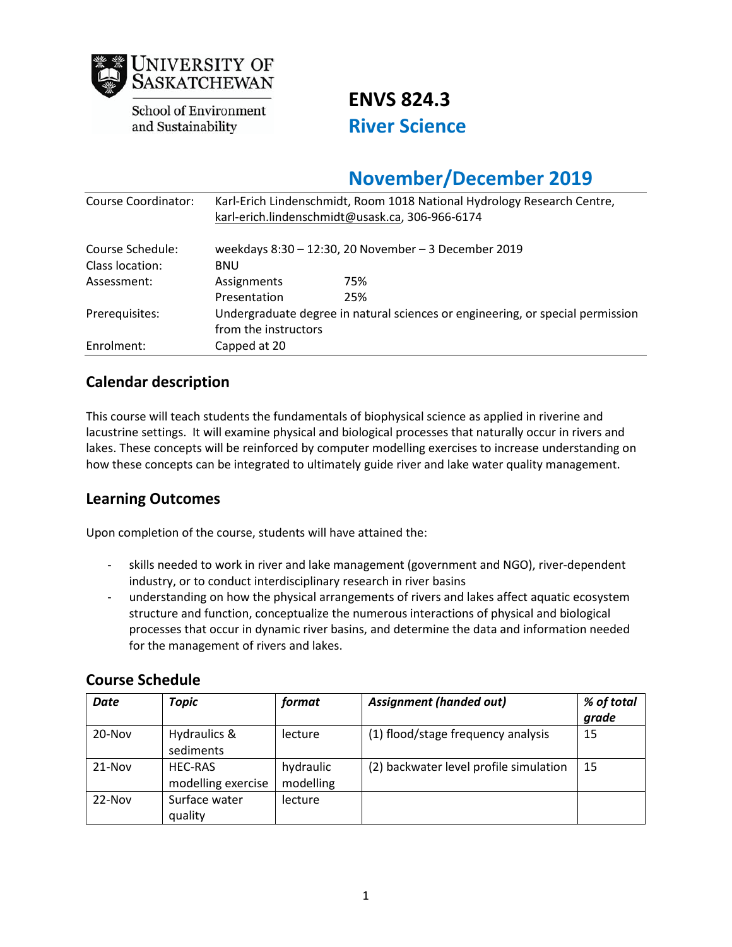

**School of Environment** and Sustainability

**ENVS 824.3 River Science** 

# **November/December 2019**

| Course Coordinator: | Karl-Erich Lindenschmidt, Room 1018 National Hydrology Research Centre,<br>karl-erich.lindenschmidt@usask.ca, 306-966-6174 |                                                      |  |
|---------------------|----------------------------------------------------------------------------------------------------------------------------|------------------------------------------------------|--|
| Course Schedule:    |                                                                                                                            | weekdays 8:30 - 12:30, 20 November - 3 December 2019 |  |
| Class location:     | <b>BNU</b>                                                                                                                 |                                                      |  |
| Assessment:         | Assignments                                                                                                                | 75%                                                  |  |
|                     | Presentation                                                                                                               | 25%                                                  |  |
| Prerequisites:      | Undergraduate degree in natural sciences or engineering, or special permission                                             |                                                      |  |
|                     | from the instructors                                                                                                       |                                                      |  |
| Enrolment:          | Capped at 20                                                                                                               |                                                      |  |

# **Calendar description**

This course will teach students the fundamentals of biophysical science as applied in riverine and lacustrine settings. It will examine physical and biological processes that naturally occur in rivers and lakes. These concepts will be reinforced by computer modelling exercises to increase understanding on how these concepts can be integrated to ultimately guide river and lake water quality management.

# **Learning Outcomes**

Upon completion of the course, students will have attained the:

- skills needed to work in river and lake management (government and NGO), river-dependent industry, or to conduct interdisciplinary research in river basins
- understanding on how the physical arrangements of rivers and lakes affect aquatic ecosystem structure and function, conceptualize the numerous interactions of physical and biological processes that occur in dynamic river basins, and determine the data and information needed for the management of rivers and lakes.

| <b>Date</b> | Topic                                | format                 | <b>Assignment (handed out)</b>         | % of total<br>grade |
|-------------|--------------------------------------|------------------------|----------------------------------------|---------------------|
| $20 - Nov$  | Hydraulics &<br>sediments            | lecture                | (1) flood/stage frequency analysis     | 15                  |
| $21-Nov$    | <b>HEC-RAS</b><br>modelling exercise | hydraulic<br>modelling | (2) backwater level profile simulation | 15                  |
| $22-Nov$    | Surface water<br>quality             | lecture                |                                        |                     |

# **Course Schedule**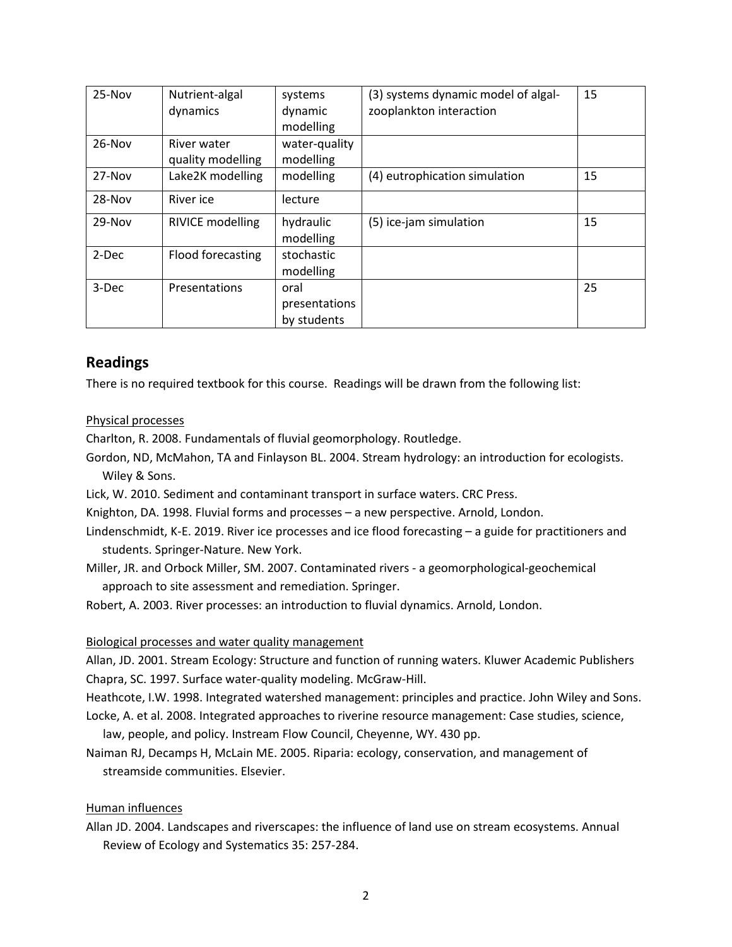| $25-Nov$ | Nutrient-algal<br>dynamics       | systems<br>dynamic<br>modelling      | (3) systems dynamic model of algal-<br>zooplankton interaction | 15 |
|----------|----------------------------------|--------------------------------------|----------------------------------------------------------------|----|
| $26-Nov$ | River water<br>quality modelling | water-quality<br>modelling           |                                                                |    |
| $27-Nov$ | Lake2K modelling                 | modelling                            | (4) eutrophication simulation                                  | 15 |
| $28-Nov$ | River ice                        | lecture                              |                                                                |    |
| $29-Nov$ | <b>RIVICE modelling</b>          | hydraulic<br>modelling               | (5) ice-jam simulation                                         | 15 |
| 2-Dec    | Flood forecasting                | stochastic<br>modelling              |                                                                |    |
| 3-Dec    | Presentations                    | oral<br>presentations<br>by students |                                                                | 25 |

# **Readings**

There is no required textbook for this course. Readings will be drawn from the following list:

## Physical processes

Charlton, R. 2008. Fundamentals of fluvial geomorphology. Routledge.

Gordon, ND, McMahon, TA and Finlayson BL. 2004. Stream hydrology: an introduction for ecologists. Wiley & Sons.

Lick, W. 2010. Sediment and contaminant transport in surface waters. CRC Press.

Knighton, DA. 1998. Fluvial forms and processes – a new perspective. Arnold, London.

- Lindenschmidt, K-E. 2019. River ice processes and ice flood forecasting a guide for practitioners and students. Springer-Nature. New York.
- Miller, JR. and Orbock Miller, SM. 2007. Contaminated rivers a geomorphological-geochemical approach to site assessment and remediation. Springer.

Robert, A. 2003. River processes: an introduction to fluvial dynamics. Arnold, London.

#### Biological processes and water quality management

Allan, JD. 2001. Stream Ecology: Structure and function of running waters. Kluwer Academic Publishers Chapra, SC. 1997. Surface water-quality modeling. McGraw-Hill.

Heathcote, I.W. 1998. Integrated watershed management: principles and practice. John Wiley and Sons.

Locke, A. et al. 2008. Integrated approaches to riverine resource management: Case studies, science,

law, people, and policy. Instream Flow Council, Cheyenne, WY. 430 pp.

Naiman RJ, Decamps H, McLain ME. 2005. Riparia: ecology, conservation, and management of streamside communities. Elsevier.

## Human influences

Allan JD. 2004. Landscapes and riverscapes: the influence of land use on stream ecosystems. Annual Review of Ecology and Systematics 35: 257-284.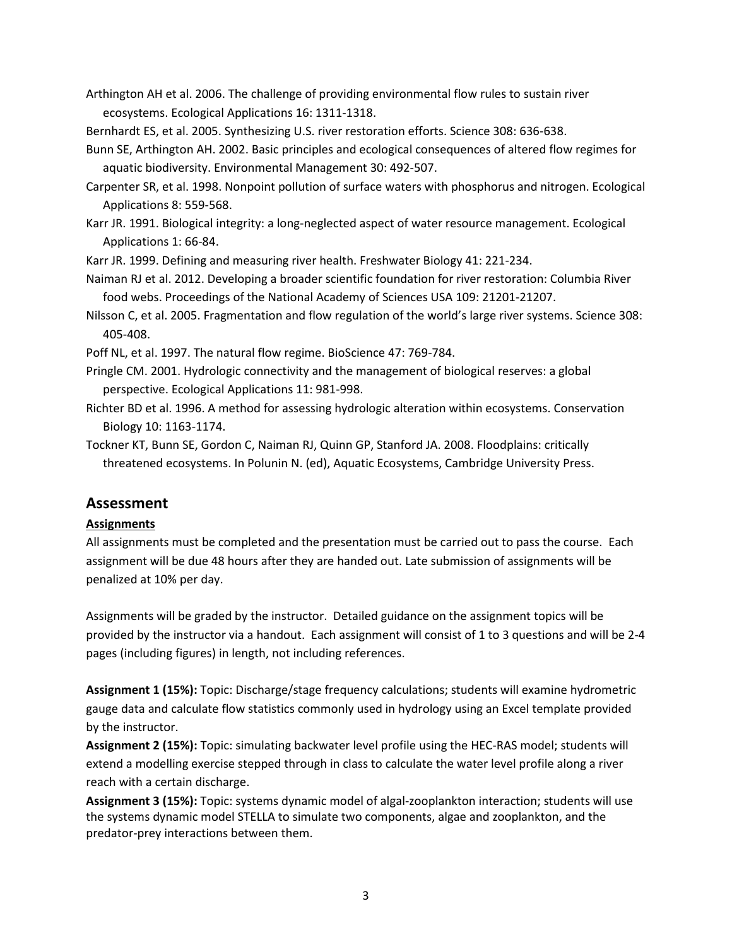Arthington AH et al. 2006. The challenge of providing environmental flow rules to sustain river ecosystems. Ecological Applications 16: 1311-1318.

Bernhardt ES, et al. 2005. Synthesizing U.S. river restoration efforts. Science 308: 636-638.

Bunn SE, Arthington AH. 2002. Basic principles and ecological consequences of altered flow regimes for aquatic biodiversity. Environmental Management 30: 492-507.

Carpenter SR, et al. 1998. Nonpoint pollution of surface waters with phosphorus and nitrogen. Ecological Applications 8: 559-568.

Karr JR. 1991. Biological integrity: a long-neglected aspect of water resource management. Ecological Applications 1: 66-84.

Karr JR. 1999. Defining and measuring river health. Freshwater Biology 41: 221-234.

Naiman RJ et al. 2012. Developing a broader scientific foundation for river restoration: Columbia River food webs. Proceedings of the National Academy of Sciences USA 109: 21201-21207.

Nilsson C, et al. 2005. Fragmentation and flow regulation of the world's large river systems. Science 308: 405-408.

Poff NL, et al. 1997. The natural flow regime. BioScience 47: 769-784.

Pringle CM. 2001. Hydrologic connectivity and the management of biological reserves: a global perspective. Ecological Applications 11: 981-998.

Richter BD et al. 1996. A method for assessing hydrologic alteration within ecosystems. Conservation Biology 10: 1163-1174.

Tockner KT, Bunn SE, Gordon C, Naiman RJ, Quinn GP, Stanford JA. 2008. Floodplains: critically threatened ecosystems. In Polunin N. (ed), Aquatic Ecosystems, Cambridge University Press.

# **Assessment**

# **Assignments**

All assignments must be completed and the presentation must be carried out to pass the course. Each assignment will be due 48 hours after they are handed out. Late submission of assignments will be penalized at 10% per day.

Assignments will be graded by the instructor. Detailed guidance on the assignment topics will be provided by the instructor via a handout. Each assignment will consist of 1 to 3 questions and will be 2-4 pages (including figures) in length, not including references.

**Assignment 1 (15%):** Topic: Discharge/stage frequency calculations; students will examine hydrometric gauge data and calculate flow statistics commonly used in hydrology using an Excel template provided by the instructor.

**Assignment 2 (15%):** Topic: simulating backwater level profile using the HEC-RAS model; students will extend a modelling exercise stepped through in class to calculate the water level profile along a river reach with a certain discharge.

**Assignment 3 (15%):** Topic: systems dynamic model of algal-zooplankton interaction; students will use the systems dynamic model STELLA to simulate two components, algae and zooplankton, and the predator-prey interactions between them.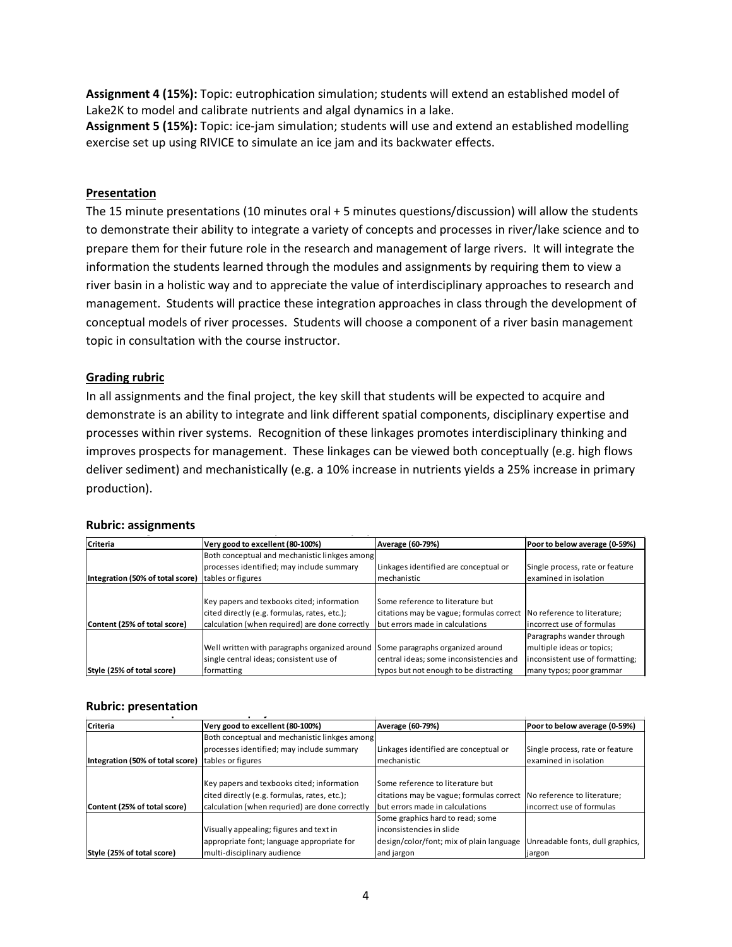**Assignment 4 (15%):** Topic: eutrophication simulation; students will extend an established model of Lake2K to model and calibrate nutrients and algal dynamics in a lake.

**Assignment 5 (15%):** Topic: ice-jam simulation; students will use and extend an established modelling exercise set up using RIVICE to simulate an ice jam and its backwater effects.

#### **Presentation**

The 15 minute presentations (10 minutes oral + 5 minutes questions/discussion) will allow the students to demonstrate their ability to integrate a variety of concepts and processes in river/lake science and to prepare them for their future role in the research and management of large rivers. It will integrate the information the students learned through the modules and assignments by requiring them to view a river basin in a holistic way and to appreciate the value of interdisciplinary approaches to research and management. Students will practice these integration approaches in class through the development of conceptual models of river processes. Students will choose a component of a river basin management topic in consultation with the course instructor.

## **Grading rubric**

In all assignments and the final project, the key skill that students will be expected to acquire and demonstrate is an ability to integrate and link different spatial components, disciplinary expertise and processes within river systems. Recognition of these linkages promotes interdisciplinary thinking and improves prospects for management. These linkages can be viewed both conceptually (e.g. high flows deliver sediment) and mechanistically (e.g. a 10% increase in nutrients yields a 25% increase in primary production).

# **Rubric: assignments**

| Criteria                         | Very good to excellent (80-100%)               | Average (60-79%)                                                     | Poor to below average (0-59%)   |
|----------------------------------|------------------------------------------------|----------------------------------------------------------------------|---------------------------------|
|                                  | Both conceptual and mechanistic linkges among  |                                                                      |                                 |
|                                  | processes identified; may include summary      | Linkages identified are conceptual or                                | Single process, rate or feature |
| Integration (50% of total score) | tables or figures                              | <b>Imechanistic</b>                                                  | examined in isolation           |
|                                  |                                                |                                                                      |                                 |
|                                  | Key papers and texbooks cited; information     | Some reference to literature but                                     |                                 |
|                                  | cited directly (e.g. formulas, rates, etc.);   | citations may be vague; formulas correct No reference to literature; |                                 |
| Content (25% of total score)     | calculation (when required) are done correctly | but errors made in calculations                                      | incorrect use of formulas       |
|                                  |                                                |                                                                      | Paragraphs wander through       |
|                                  | Well written with paragraphs organized around  | Some paragraphs organized around                                     | multiple ideas or topics;       |
|                                  | single central ideas; consistent use of        | central ideas; some inconsistencies and                              | inconsistent use of formatting; |
| Style (25% of total score)       | formatting                                     | typos but not enough to be distracting                               | many typos; poor grammar        |

# **Rubric: presentation**

| Criteria                         | Very good to excellent (80-100%)               | Average (60-79%)                         | Poor to below average (0-59%)    |
|----------------------------------|------------------------------------------------|------------------------------------------|----------------------------------|
|                                  | Both conceptual and mechanistic linkges among  |                                          |                                  |
|                                  | processes identified; may include summary      | Linkages identified are conceptual or    | Single process, rate or feature  |
| Integration (50% of total score) | tables or figures                              | <b>Imechanistic</b>                      | examined in isolation            |
|                                  |                                                |                                          |                                  |
|                                  | Key papers and texbooks cited; information     | Some reference to literature but         |                                  |
|                                  | cited directly (e.g. formulas, rates, etc.);   | citations may be vague; formulas correct | No reference to literature;      |
| Content (25% of total score)     | calculation (when requried) are done correctly | but errors made in calculations          | incorrect use of formulas        |
|                                  |                                                | Some graphics hard to read; some         |                                  |
|                                  | Visually appealing; figures and text in        | linconsistencies in slide                |                                  |
|                                  | appropriate font; language appropriate for     | design/color/font; mix of plain language | Unreadable fonts, dull graphics, |
| Style (25% of total score)       | multi-disciplinary audience                    | and jargon                               | jargon                           |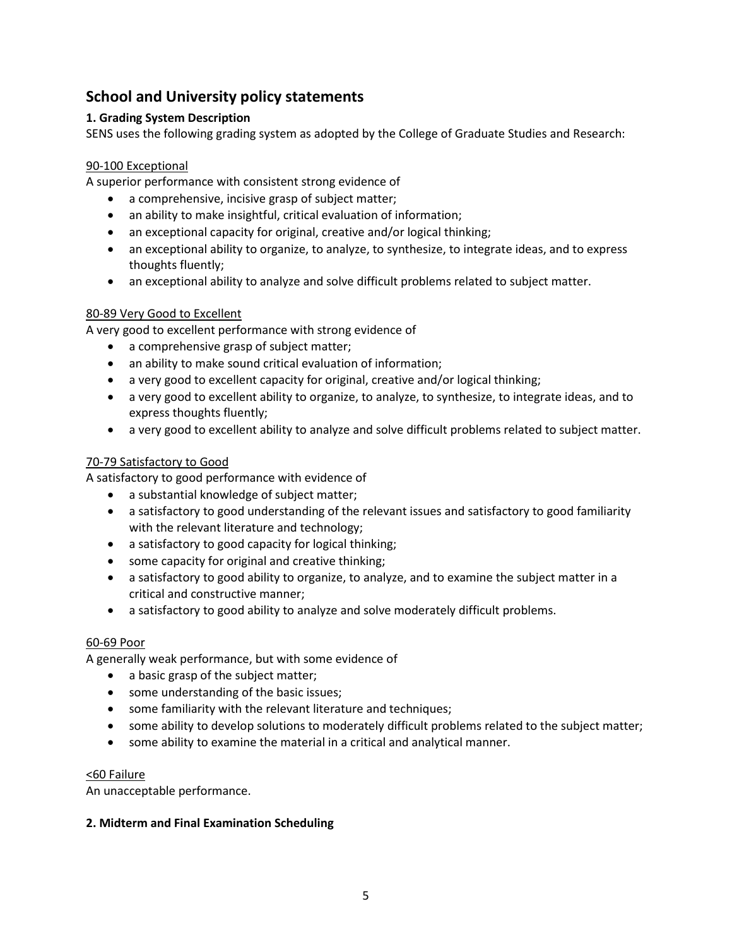# **School and University policy statements**

# **1. Grading System Description**

SENS uses the following grading system as adopted by the College of Graduate Studies and Research:

# 90-100 Exceptional

A superior performance with consistent strong evidence of

- a comprehensive, incisive grasp of subject matter;
- an ability to make insightful, critical evaluation of information;
- an exceptional capacity for original, creative and/or logical thinking;
- an exceptional ability to organize, to analyze, to synthesize, to integrate ideas, and to express thoughts fluently;
- an exceptional ability to analyze and solve difficult problems related to subject matter.

# 80-89 Very Good to Excellent

A very good to excellent performance with strong evidence of

- a comprehensive grasp of subject matter;
- an ability to make sound critical evaluation of information;
- a very good to excellent capacity for original, creative and/or logical thinking;
- a very good to excellent ability to organize, to analyze, to synthesize, to integrate ideas, and to express thoughts fluently;
- a very good to excellent ability to analyze and solve difficult problems related to subject matter.

# 70-79 Satisfactory to Good

A satisfactory to good performance with evidence of

- a substantial knowledge of subject matter;
- a satisfactory to good understanding of the relevant issues and satisfactory to good familiarity with the relevant literature and technology;
- a satisfactory to good capacity for logical thinking;
- some capacity for original and creative thinking;
- a satisfactory to good ability to organize, to analyze, and to examine the subject matter in a critical and constructive manner;
- a satisfactory to good ability to analyze and solve moderately difficult problems.

## 60-69 Poor

A generally weak performance, but with some evidence of

- a basic grasp of the subject matter;
- some understanding of the basic issues;
- some familiarity with the relevant literature and techniques;
- some ability to develop solutions to moderately difficult problems related to the subject matter;
- some ability to examine the material in a critical and analytical manner.

## <60 Failure

An unacceptable performance.

## **2. Midterm and Final Examination Scheduling**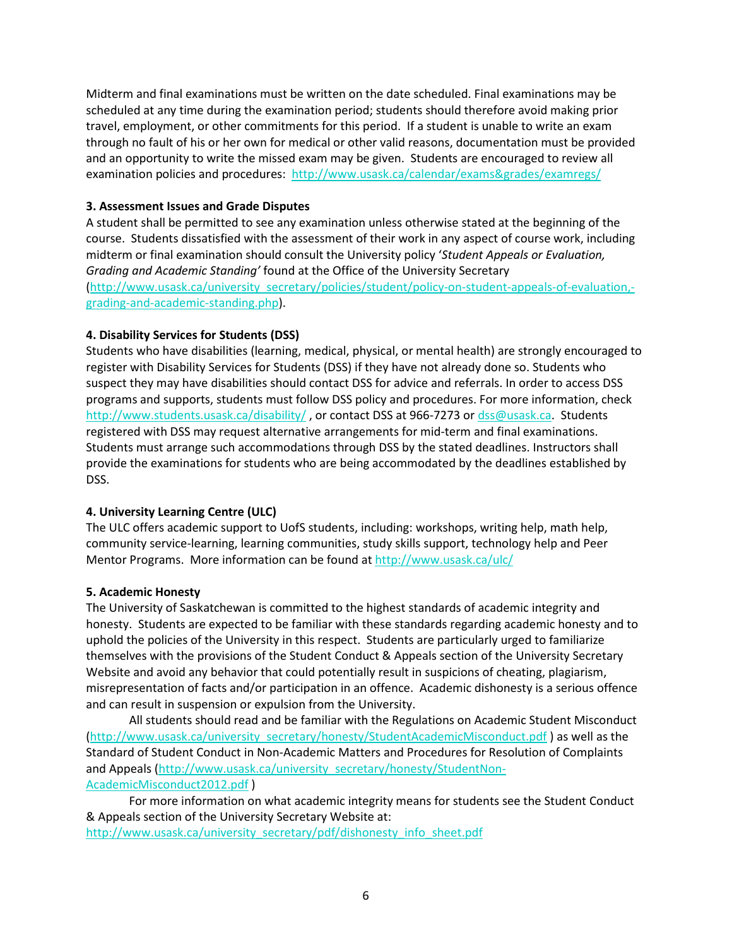Midterm and final examinations must be written on the date scheduled. Final examinations may be scheduled at any time during the examination period; students should therefore avoid making prior travel, employment, or other commitments for this period. If a student is unable to write an exam through no fault of his or her own for medical or other valid reasons, documentation must be provided and an opportunity to write the missed exam may be given. Students are encouraged to review all examination policies and procedures: http://www.usask.ca/calendar/exams&grades/examregs/

# **3. Assessment Issues and Grade Disputes**

A student shall be permitted to see any examination unless otherwise stated at the beginning of the course. Students dissatisfied with the assessment of their work in any aspect of course work, including midterm or final examination should consult the University policy '*Student Appeals or Evaluation, Grading and Academic Standing'* found at the Office of the University Secretary (http://www.usask.ca/university\_secretary/policies/student/policy-on-student-appeals-of-evaluation, grading-and-academic-standing.php).

# **4. Disability Services for Students (DSS)**

Students who have disabilities (learning, medical, physical, or mental health) are strongly encouraged to register with Disability Services for Students (DSS) if they have not already done so. Students who suspect they may have disabilities should contact DSS for advice and referrals. In order to access DSS programs and supports, students must follow DSS policy and procedures. For more information, check http://www.students.usask.ca/disability/, or contact DSS at 966-7273 or dss@usask.ca. Students registered with DSS may request alternative arrangements for mid-term and final examinations. Students must arrange such accommodations through DSS by the stated deadlines. Instructors shall provide the examinations for students who are being accommodated by the deadlines established by DSS.

# **4. University Learning Centre (ULC)**

The ULC offers academic support to UofS students, including: workshops, writing help, math help, community service-learning, learning communities, study skills support, technology help and Peer Mentor Programs. More information can be found at http://www.usask.ca/ulc/

## **5. Academic Honesty**

The University of Saskatchewan is committed to the highest standards of academic integrity and honesty. Students are expected to be familiar with these standards regarding academic honesty and to uphold the policies of the University in this respect. Students are particularly urged to familiarize themselves with the provisions of the Student Conduct & Appeals section of the University Secretary Website and avoid any behavior that could potentially result in suspicions of cheating, plagiarism, misrepresentation of facts and/or participation in an offence. Academic dishonesty is a serious offence and can result in suspension or expulsion from the University.

All students should read and be familiar with the Regulations on Academic Student Misconduct (http://www.usask.ca/university\_secretary/honesty/StudentAcademicMisconduct.pdf) as well as the Standard of Student Conduct in Non-Academic Matters and Procedures for Resolution of Complaints and Appeals (http://www.usask.ca/university\_secretary/honesty/StudentNon-AcademicMisconduct2012.pdf )

For more information on what academic integrity means for students see the Student Conduct & Appeals section of the University Secretary Website at: http://www.usask.ca/university\_secretary/pdf/dishonesty\_info\_sheet.pdf

6